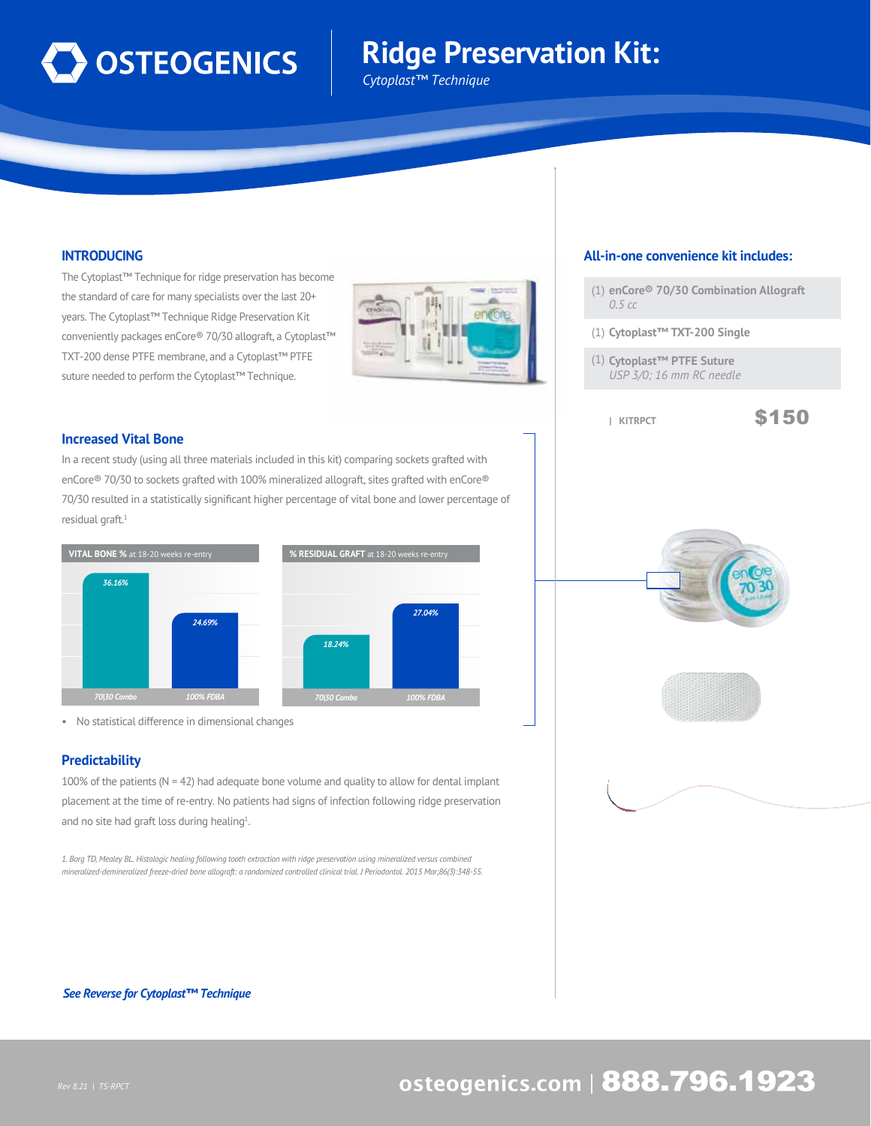

# **Ridge Preservation Kit:**

*Cytoplast™ Technique*

# **INTRODUCING**

The Cytoplast™ Technique for ridge preservation has become the standard of care for many specialists over the last 20+ years. The Cytoplast™ Technique Ridge Preservation Kit conveniently packages enCore® 70/30 allograft, a Cytoplast™ TXT-200 dense PTFE membrane, and a Cytoplast™ PTFE suture needed to perform the Cytoplast™ Technique.



## **Increased Vital Bone**

In a recent study (using all three materials included in this kit) comparing sockets grafted with enCore® 70/30 to sockets grafted with 100% mineralized allograft, sites grafted with enCore® 70/30 resulted in a statistically significant higher percentage of vital bone and lower percentage of residual graft.<sup>1</sup>



• No statistical difference in dimensional changes

## **Predictability**

100% of the patients ( $N = 42$ ) had adequate bone volume and quality to allow for dental implant placement at the time of re-entry. No patients had signs of infection following ridge preservation and no site had graft loss during healing<sup>1</sup>.

*1. Borg TD, Mealey BL. Histologic healing following tooth extraction with ridge preservation using mineralized versus combined mineralized-demineralized freeze-dried bone allograft: a randomized controlled clinical trial. J Periodontol. 2015 Mar;86(3):348-55.*

#### *See Reverse for Cytoplast™ Technique*

## **All-in-one convenience kit includes:**

- (1) **enCore® 70/30 Combination Allograft** *0.5 cc*
- (1) **Cytoplast™ TXT-200 Single**
- (1) **Cytoplast™ PTFE Suture** *USP 3/0; 16 mm RC needle*
	-







# osteogenics.com | 888.796.1923